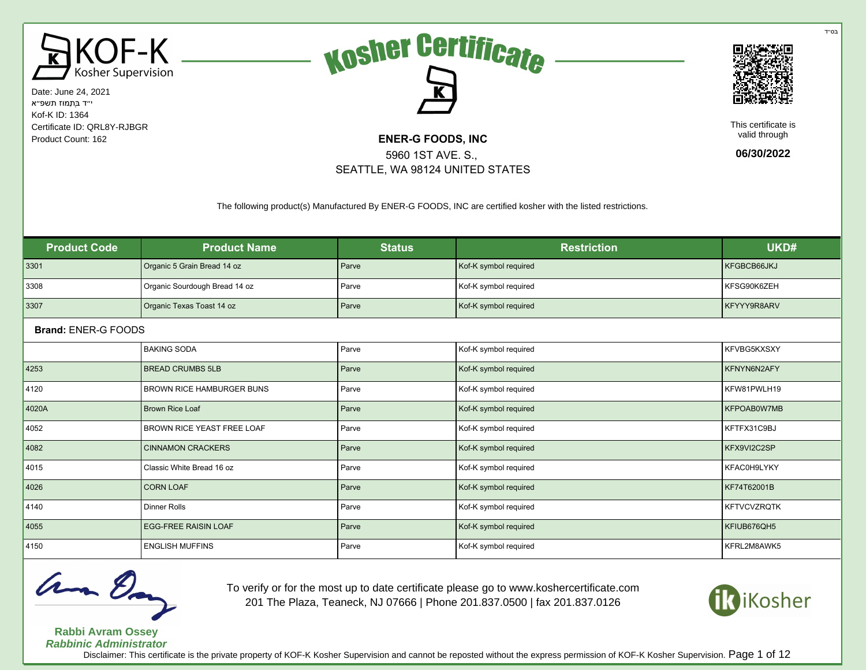





This certificate is valid through

**06/30/2022**

The following product(s) Manufactured By ENER-G FOODS, INC are certified kosher with the listed restrictions.

5960 1ST AVE. S., SEATTLE, WA 98124 UNITED STATES

| <b>Product Code</b> | <b>Product Name</b>              | <b>Status</b> | <b>Restriction</b>    | UKD#               |
|---------------------|----------------------------------|---------------|-----------------------|--------------------|
| 3301                | Organic 5 Grain Bread 14 oz      | Parve         | Kof-K symbol required | KFGBCB66JKJ        |
| 3308                | Organic Sourdough Bread 14 oz    | Parve         | Kof-K symbol required | KFSG90K6ZEH        |
| 3307                | Organic Texas Toast 14 oz        | Parve         | Kof-K symbol required | KFYYY9R8ARV        |
| Brand: ENER-G FOODS |                                  |               |                       |                    |
|                     | <b>BAKING SODA</b>               | Parve         | Kof-K symbol required | KFVBG5KXSXY        |
| 4253                | <b>BREAD CRUMBS 5LB</b>          | Parve         | Kof-K symbol required | KFNYN6N2AFY        |
| 4120                | <b>BROWN RICE HAMBURGER BUNS</b> | Parve         | Kof-K symbol required | KFW81PWLH19        |
| 4020A               | <b>Brown Rice Loaf</b>           | Parve         | Kof-K symbol required | KFPOAB0W7MB        |
| 4052                | BROWN RICE YEAST FREE LOAF       | Parve         | Kof-K symbol required | KFTFX31C9BJ        |
| 4082                | <b>CINNAMON CRACKERS</b>         | Parve         | Kof-K symbol required | KFX9VI2C2SP        |
| 4015                | Classic White Bread 16 oz        | Parve         | Kof-K symbol required | KFAC0H9LYKY        |
| 4026                | <b>CORN LOAF</b>                 | Parve         | Kof-K symbol required | KF74T62001B        |
| 4140                | <b>Dinner Rolls</b>              | Parve         | Kof-K symbol required | <b>KFTVCVZRQTK</b> |
| 4055                | <b>EGG-FREE RAISIN LOAF</b>      | Parve         | Kof-K symbol required | KFIUB676QH5        |
| 4150                | <b>ENGLISH MUFFINS</b>           | Parve         | Kof-K symbol required | KFRL2M8AWK5        |



**Rabbi Avram Ossey**

To verify or for the most up to date certificate please go to www.koshercertificate.com 201 The Plaza, Teaneck, NJ 07666 | Phone 201.837.0500 | fax 201.837.0126



**Rabbinic Administrator** Disclaimer: This certificate is the private property of KOF-K Kosher Supervision and cannot be reposted without the express permission of KOF-K Kosher Supervision. Page 1 of 12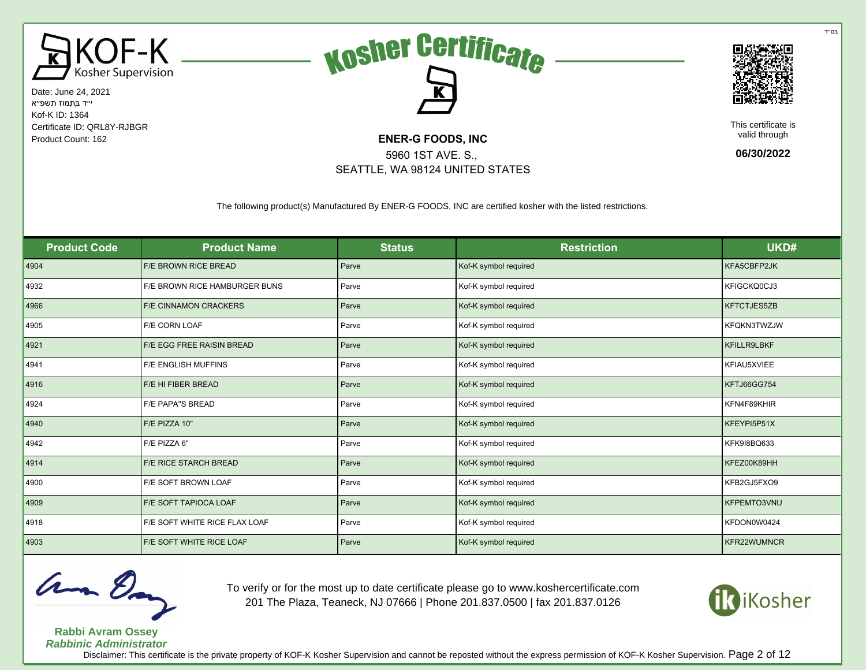





This certificate is valid through

**06/30/2022**

The following product(s) Manufactured By ENER-G FOODS, INC are certified kosher with the listed restrictions.

5960 1ST AVE. S., SEATTLE, WA 98124 UNITED STATES

| <b>Product Code</b> | <b>Product Name</b>              | <b>Status</b> | <b>Restriction</b>    | UKD#               |
|---------------------|----------------------------------|---------------|-----------------------|--------------------|
| 4904                | <b>F/E BROWN RICE BREAD</b>      | Parve         | Kof-K symbol required | KFA5CBFP2JK        |
| 4932                | F/E BROWN RICE HAMBURGER BUNS    | Parve         | Kof-K symbol required | KFIGCKQ0CJ3        |
| 4966                | F/E CINNAMON CRACKERS            | Parve         | Kof-K symbol required | KFTCTJES5ZB        |
| 4905                | F/E CORN LOAF                    | Parve         | Kof-K symbol required | KFQKN3TWZJW        |
| 4921                | <b>F/E EGG FREE RAISIN BREAD</b> | Parve         | Kof-K symbol required | KFILLR9LBKF        |
| 4941                | <b>F/E ENGLISH MUFFINS</b>       | Parve         | Kof-K symbol required | KFIAU5XVIEE        |
| 4916                | F/E HI FIBER BREAD               | Parve         | Kof-K symbol required | <b>KFTJ66GG754</b> |
| 4924                | <b>F/E PAPA"S BREAD</b>          | Parve         | Kof-K symbol required | KFN4F89KHIR        |
| 4940                | F/E PIZZA 10"                    | Parve         | Kof-K symbol required | KFEYPI5P51X        |
| 4942                | F/E PIZZA 6"                     | Parve         | Kof-K symbol required | KFK9I8BQ633        |
| 4914                | <b>F/E RICE STARCH BREAD</b>     | Parve         | Kof-K symbol required | KFEZ00K89HH        |
| 4900                | F/E SOFT BROWN LOAF              | Parve         | Kof-K symbol required | KFB2GJ5FXO9        |
| 4909                | F/E SOFT TAPIOCA LOAF            | Parve         | Kof-K symbol required | KFPEMTO3VNU        |
| 4918                | F/E SOFT WHITE RICE FLAX LOAF    | Parve         | Kof-K symbol required | KFDON0W0424        |
| 4903                | F/E SOFT WHITE RICE LOAF         | Parve         | Kof-K symbol required | KFR22WUMNCR        |



**Rabbi Avram Ossey**

To verify or for the most up to date certificate please go to www.koshercertificate.com 201 The Plaza, Teaneck, NJ 07666 | Phone 201.837.0500 | fax 201.837.0126



**Rabbinic Administrator**

Disclaimer: This certificate is the private property of KOF-K Kosher Supervision and cannot be reposted without the express permission of KOF-K Kosher Supervision. Page 2 of 12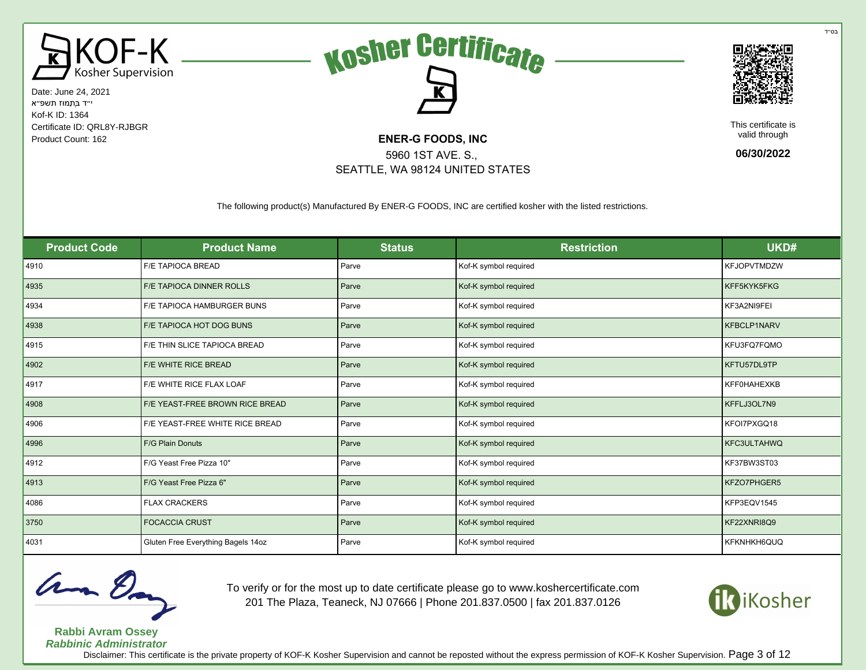





This certificate is valid through

**06/30/2022**

The following product(s) Manufactured By ENER-G FOODS, INC are certified kosher with the listed restrictions.

5960 1ST AVE. S., SEATTLE, WA 98124 UNITED STATES

| <b>Product Code</b> | <b>Product Name</b>                | <b>Status</b> | <b>Restriction</b>    | UKD#               |
|---------------------|------------------------------------|---------------|-----------------------|--------------------|
| 4910                | <b>F/E TAPIOCA BREAD</b>           | Parve         | Kof-K symbol required | <b>KFJOPVTMDZW</b> |
| 4935                | <b>F/E TAPIOCA DINNER ROLLS</b>    | Parve         | Kof-K symbol required | KFF5KYK5FKG        |
| 4934                | F/E TAPIOCA HAMBURGER BUNS         | Parve         | Kof-K symbol required | KF3A2NI9FEI        |
| 4938                | F/E TAPIOCA HOT DOG BUNS           | Parve         | Kof-K symbol required | KFBCLP1NARV        |
| 4915                | F/E THIN SLICE TAPIOCA BREAD       | Parve         | Kof-K symbol required | KFU3FQ7FQMO        |
| 4902                | F/E WHITE RICE BREAD               | Parve         | Kof-K symbol required | KFTU57DL9TP        |
| 4917                | F/E WHITE RICE FLAX LOAF           | Parve         | Kof-K symbol required | <b>KFF0HAHEXKB</b> |
| 4908                | F/E YEAST-FREE BROWN RICE BREAD    | Parve         | Kof-K symbol required | KFFLJ3OL7N9        |
| 4906                | F/E YEAST-FREE WHITE RICE BREAD    | Parve         | Kof-K symbol required | KFOI7PXGQ18        |
| 4996                | F/G Plain Donuts                   | Parve         | Kof-K symbol required | KFC3ULTAHWQ        |
| 4912                | F/G Yeast Free Pizza 10"           | Parve         | Kof-K symbol required | KF37BW3ST03        |
| 4913                | F/G Yeast Free Pizza 6"            | Parve         | Kof-K symbol required | KFZO7PHGER5        |
| 4086                | <b>FLAX CRACKERS</b>               | Parve         | Kof-K symbol required | KFP3EQV1545        |
| 3750                | <b>FOCACCIA CRUST</b>              | Parve         | Kof-K symbol required | KF22XNRI8Q9        |
| 4031                | Gluten Free Everything Bagels 14oz | Parve         | Kof-K symbol required | KFKNHKH6QUQ        |



**Rabbi Avram Ossey**

To verify or for the most up to date certificate please go to www.koshercertificate.com 201 The Plaza, Teaneck, NJ 07666 | Phone 201.837.0500 | fax 201.837.0126



**Rabbinic Administrator** Disclaimer: This certificate is the private property of KOF-K Kosher Supervision and cannot be reposted without the express permission of KOF-K Kosher Supervision. Page 3 of 12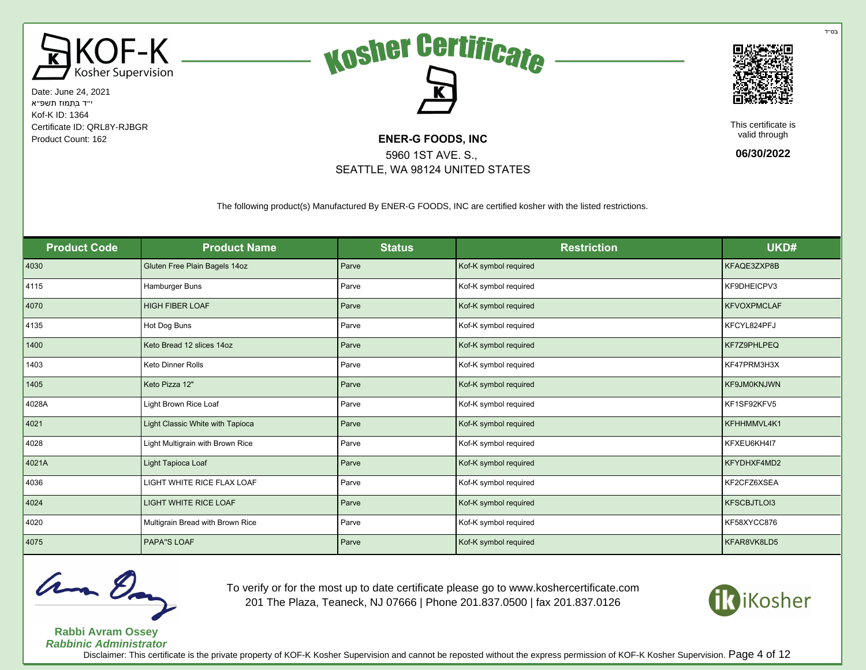





This certificate is valid through

**06/30/2022**

The following product(s) Manufactured By ENER-G FOODS, INC are certified kosher with the listed restrictions.

5960 1ST AVE. S., SEATTLE, WA 98124 UNITED STATES

| <b>Product Code</b> | <b>Product Name</b>              | <b>Status</b> | <b>Restriction</b>    | UKD#               |
|---------------------|----------------------------------|---------------|-----------------------|--------------------|
| 4030                | Gluten Free Plain Bagels 14oz    | Parve         | Kof-K symbol required | KFAQE3ZXP8B        |
| 4115                | Hamburger Buns                   | Parve         | Kof-K symbol required | KF9DHEICPV3        |
| 4070                | <b>HIGH FIBER LOAF</b>           | Parve         | Kof-K symbol required | <b>KFVOXPMCLAF</b> |
| 4135                | Hot Dog Buns                     | Parve         | Kof-K symbol required | KFCYL824PFJ        |
| 1400                | Keto Bread 12 slices 14oz        | Parve         | Kof-K symbol required | KF7Z9PHLPEQ        |
| 1403                | <b>Keto Dinner Rolls</b>         | Parve         | Kof-K symbol required | KF47PRM3H3X        |
| 1405                | Keto Pizza 12"                   | Parve         | Kof-K symbol required | KF9JM0KNJWN        |
| 4028A               | Light Brown Rice Loaf            | Parve         | Kof-K symbol required | KF1SF92KFV5        |
| 4021                | Light Classic White with Tapioca | Parve         | Kof-K symbol required | KFHHMMVL4K1        |
| 4028                | Light Multigrain with Brown Rice | Parve         | Kof-K symbol required | KFXEU6KH4I7        |
| 4021A               | Light Tapioca Loaf               | Parve         | Kof-K symbol required | KFYDHXF4MD2        |
| 4036                | LIGHT WHITE RICE FLAX LOAF       | Parve         | Kof-K symbol required | KF2CFZ6XSEA        |
| 4024                | <b>LIGHT WHITE RICE LOAF</b>     | Parve         | Kof-K symbol required | KFSCBJTLOI3        |
| 4020                | Multigrain Bread with Brown Rice | Parve         | Kof-K symbol required | KF58XYCC876        |
| 4075                | PAPA"S LOAF                      | Parve         | Kof-K symbol required | KFAR8VK8LD5        |



**Rabbi Avram Ossey**

To verify or for the most up to date certificate please go to www.koshercertificate.com 201 The Plaza, Teaneck, NJ 07666 | Phone 201.837.0500 | fax 201.837.0126



**Rabbinic Administrator** Disclaimer: This certificate is the private property of KOF-K Kosher Supervision and cannot be reposted without the express permission of KOF-K Kosher Supervision. Page 4 of 12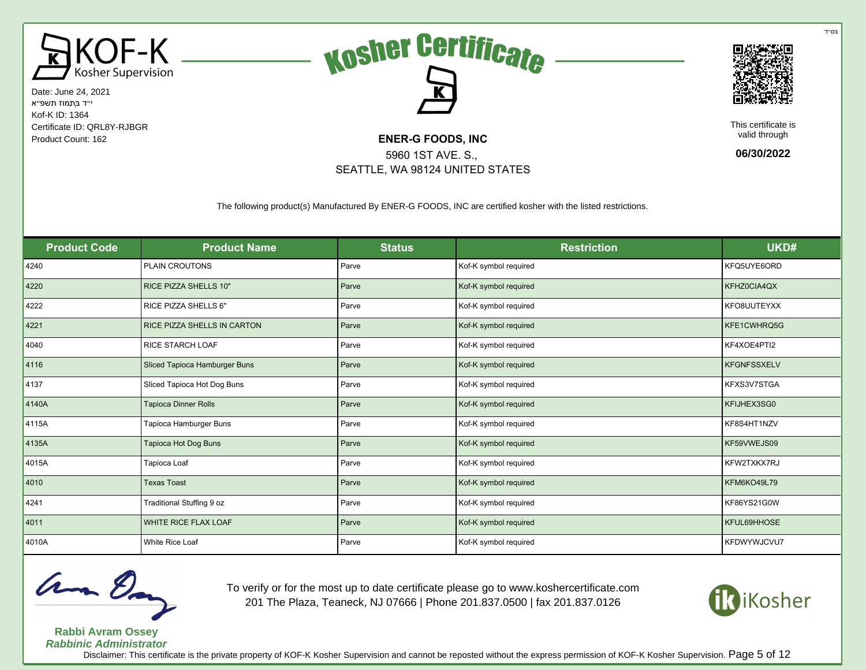





This certificate is valid through

**06/30/2022**

The following product(s) Manufactured By ENER-G FOODS, INC are certified kosher with the listed restrictions.

5960 1ST AVE. S., SEATTLE, WA 98124 UNITED STATES

| <b>Product Code</b> | <b>Product Name</b>           | <b>Status</b> | <b>Restriction</b>    | UKD#               |
|---------------------|-------------------------------|---------------|-----------------------|--------------------|
| 4240                | PLAIN CROUTONS                | Parve         | Kof-K symbol required | KFQ5UYE6ORD        |
| 4220                | <b>RICE PIZZA SHELLS 10"</b>  | Parve         | Kof-K symbol required | KFHZ0CIA4QX        |
| 4222                | RICE PIZZA SHELLS 6"          | Parve         | Kof-K symbol required | KFO8UUTEYXX        |
| 4221                | RICE PIZZA SHELLS IN CARTON   | Parve         | Kof-K symbol required | KFE1CWHRQ5G        |
| 4040                | <b>RICE STARCH LOAF</b>       | Parve         | Kof-K symbol required | KF4XOE4PTI2        |
| 4116                | Sliced Tapioca Hamburger Buns | Parve         | Kof-K symbol required | <b>KFGNFSSXELV</b> |
| 4137                | Sliced Tapioca Hot Dog Buns   | Parve         | Kof-K symbol required | KFXS3V7STGA        |
| 4140A               | <b>Tapioca Dinner Rolls</b>   | Parve         | Kof-K symbol required | KFIJHEX3SG0        |
| 4115A               | Tapioca Hamburger Buns        | Parve         | Kof-K symbol required | KF8S4HT1NZV        |
| 4135A               | Tapioca Hot Dog Buns          | Parve         | Kof-K symbol required | KF59VWEJS09        |
| 4015A               | Tapioca Loaf                  | Parve         | Kof-K symbol required | KFW2TXKX7RJ        |
| 4010                | <b>Texas Toast</b>            | Parve         | Kof-K symbol required | KFM6KO49L79        |
| 4241                | Traditional Stuffing 9 oz     | Parve         | Kof-K symbol required | KF86YS21G0W        |
| 4011                | WHITE RICE FLAX LOAF          | Parve         | Kof-K symbol required | KFUL69HHOSE        |
| 4010A               | White Rice Loaf               | Parve         | Kof-K symbol required | KFDWYWJCVU7        |



**Rabbi Avram Ossey**

To verify or for the most up to date certificate please go to www.koshercertificate.com 201 The Plaza, Teaneck, NJ 07666 | Phone 201.837.0500 | fax 201.837.0126



**Rabbinic Administrator** Disclaimer: This certificate is the private property of KOF-K Kosher Supervision and cannot be reposted without the express permission of KOF-K Kosher Supervision. Page 5 of 12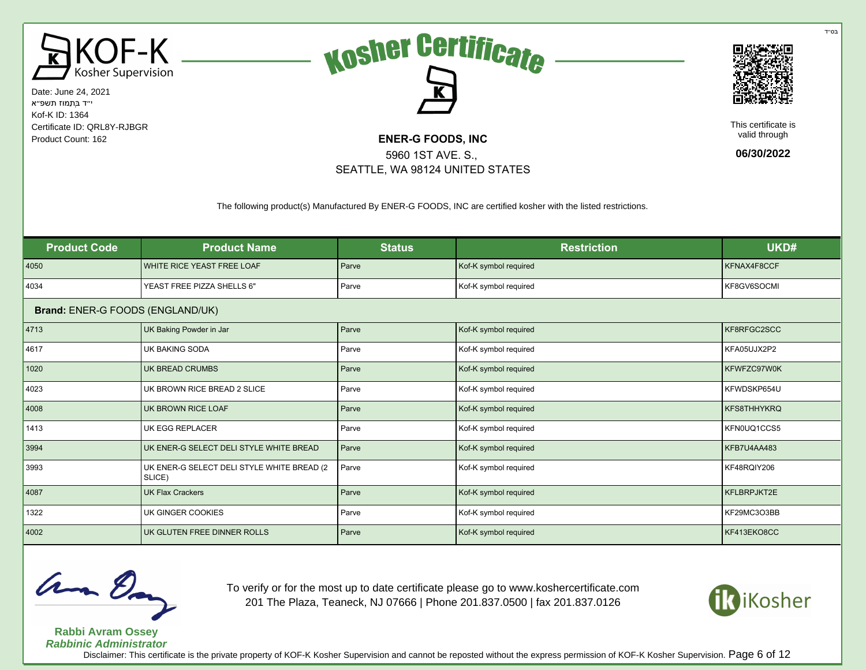





This certificate is valid through

**06/30/2022**

The following product(s) Manufactured By ENER-G FOODS, INC are certified kosher with the listed restrictions.

5960 1ST AVE. S., SEATTLE, WA 98124 UNITED STATES

| <b>Product Code</b>              | <b>Product Name</b>                                   | <b>Status</b> | <b>Restriction</b>    | UKD#               |
|----------------------------------|-------------------------------------------------------|---------------|-----------------------|--------------------|
| 4050                             | WHITE RICE YEAST FREE LOAF                            | Parve         | Kof-K symbol required | KFNAX4F8CCF        |
| 4034                             | YEAST FREE PIZZA SHELLS 6"                            | Parve         | Kof-K symbol required | KF8GV6SOCMI        |
| Brand: ENER-G FOODS (ENGLAND/UK) |                                                       |               |                       |                    |
| 4713                             | UK Baking Powder in Jar                               | Parve         | Kof-K symbol required | KF8RFGC2SCC        |
| 4617                             | <b>UK BAKING SODA</b>                                 | Parve         | Kof-K symbol required | KFA05UJX2P2        |
| 1020                             | UK BREAD CRUMBS                                       | Parve         | Kof-K symbol required | KFWFZC97W0K        |
| 4023                             | UK BROWN RICE BREAD 2 SLICE                           | Parve         | Kof-K symbol required | KFWDSKP654U        |
| 4008                             | UK BROWN RICE LOAF                                    | Parve         | Kof-K symbol required | <b>KFS8THHYKRQ</b> |
| 1413                             | UK EGG REPLACER                                       | Parve         | Kof-K symbol required | KFN0UQ1CCS5        |
| 3994                             | UK ENER-G SELECT DELI STYLE WHITE BREAD               | Parve         | Kof-K symbol required | KFB7U4AA483        |
| 3993                             | UK ENER-G SELECT DELI STYLE WHITE BREAD (2)<br>SLICE) | Parve         | Kof-K symbol required | KF48RQIY206        |
| 4087                             | <b>UK Flax Crackers</b>                               | Parve         | Kof-K symbol required | KFLBRPJKT2E        |
| 1322                             | UK GINGER COOKIES                                     | Parve         | Kof-K symbol required | KF29MC3O3BB        |
| 4002                             | UK GLUTEN FREE DINNER ROLLS                           | Parve         | Kof-K symbol required | KF413EKO8CC        |



To verify or for the most up to date certificate please go to www.koshercertificate.com 201 The Plaza, Teaneck, NJ 07666 | Phone 201.837.0500 | fax 201.837.0126



**Rabbi Avram Ossey Rabbinic Administrator** Disclaimer: This certificate is the private property of KOF-K Kosher Supervision and cannot be reposted without the express permission of KOF-K Kosher Supervision. Page 6 of 12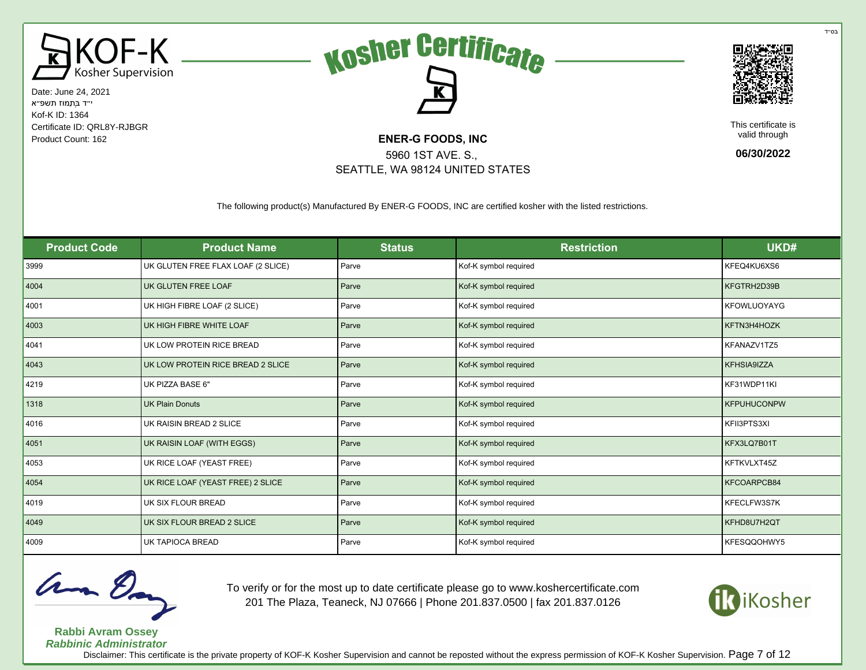





This certificate is valid through

**06/30/2022**

The following product(s) Manufactured By ENER-G FOODS, INC are certified kosher with the listed restrictions.

5960 1ST AVE. S., SEATTLE, WA 98124 UNITED STATES

| <b>Product Code</b> | <b>Product Name</b>                | <b>Status</b> | <b>Restriction</b>    | UKD#               |
|---------------------|------------------------------------|---------------|-----------------------|--------------------|
| 3999                | UK GLUTEN FREE FLAX LOAF (2 SLICE) | Parve         | Kof-K symbol required | KFEQ4KU6XS6        |
| 4004                | UK GLUTEN FREE LOAF                | Parve         | Kof-K symbol required | KFGTRH2D39B        |
| 4001                | UK HIGH FIBRE LOAF (2 SLICE)       | Parve         | Kof-K symbol required | KFOWLUOYAYG        |
| 4003                | UK HIGH FIBRE WHITE LOAF           | Parve         | Kof-K symbol required | KFTN3H4HOZK        |
| 4041                | UK LOW PROTEIN RICE BREAD          | Parve         | Kof-K symbol required | KFANAZV1TZ5        |
| 4043                | UK LOW PROTEIN RICE BREAD 2 SLICE  | Parve         | Kof-K symbol required | KFHSIA9IZZA        |
| 4219                | UK PIZZA BASE 6"                   | Parve         | Kof-K symbol required | KF31WDP11KI        |
| 1318                | <b>UK Plain Donuts</b>             | Parve         | Kof-K symbol required | <b>KFPUHUCONPW</b> |
| 4016                | UK RAISIN BREAD 2 SLICE            | Parve         | Kof-K symbol required | KFII3PTS3XI        |
| 4051                | UK RAISIN LOAF (WITH EGGS)         | Parve         | Kof-K symbol required | KFX3LQ7B01T        |
| 4053                | UK RICE LOAF (YEAST FREE)          | Parve         | Kof-K symbol required | KFTKVLXT45Z        |
| 4054                | UK RICE LOAF (YEAST FREE) 2 SLICE  | Parve         | Kof-K symbol required | KFCOARPCB84        |
| 4019                | UK SIX FLOUR BREAD                 | Parve         | Kof-K symbol required | KFECLFW3S7K        |
| 4049                | UK SIX FLOUR BREAD 2 SLICE         | Parve         | Kof-K symbol required | KFHD8U7H2QT        |
| 4009                | UK TAPIOCA BREAD                   | Parve         | Kof-K symbol required | KFESQQOHWY5        |



**Rabbi Avram Ossey Rabbinic Administrator** To verify or for the most up to date certificate please go to www.koshercertificate.com 201 The Plaza, Teaneck, NJ 07666 | Phone 201.837.0500 | fax 201.837.0126



בּס״ד

Disclaimer: This certificate is the private property of KOF-K Kosher Supervision and cannot be reposted without the express permission of KOF-K Kosher Supervision. Page 7 of 12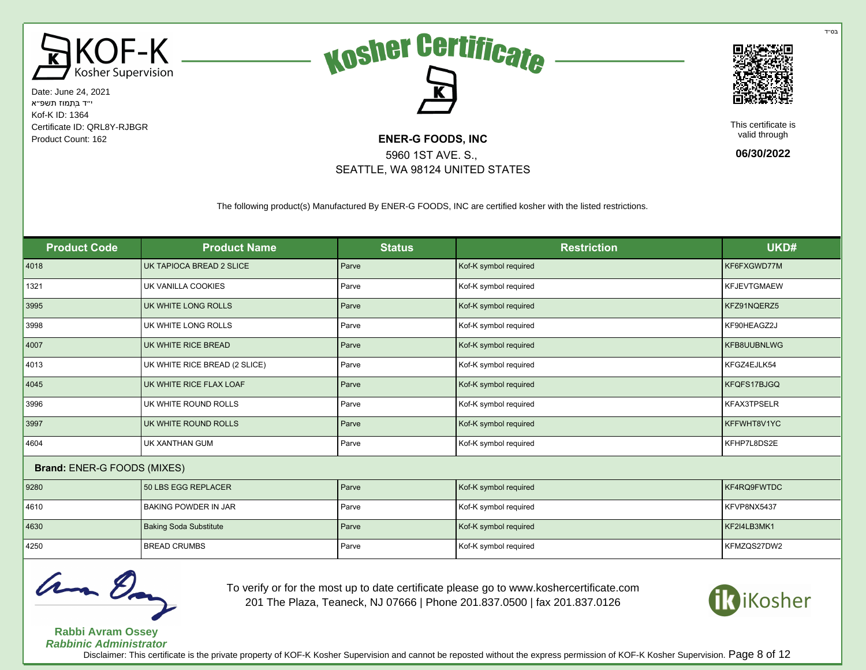





This certificate is valid through

**06/30/2022**

The following product(s) Manufactured By ENER-G FOODS, INC are certified kosher with the listed restrictions.

5960 1ST AVE. S., SEATTLE, WA 98124 UNITED STATES

| <b>Product Code</b>         | <b>Product Name</b>           | <b>Status</b> | <b>Restriction</b>    | UKD#               |
|-----------------------------|-------------------------------|---------------|-----------------------|--------------------|
| 4018                        | UK TAPIOCA BREAD 2 SLICE      | Parve         | Kof-K symbol required | KF6FXGWD77M        |
| 1321                        | UK VANILLA COOKIES            | Parve         | Kof-K symbol required | <b>KFJEVTGMAEW</b> |
| 3995                        | UK WHITE LONG ROLLS           | Parve         | Kof-K symbol required | KFZ91NQERZ5        |
| 3998                        | UK WHITE LONG ROLLS           | Parve         | Kof-K symbol required | KF90HEAGZ2J        |
| 4007                        | UK WHITE RICE BREAD           | Parve         | Kof-K symbol required | KFB8UUBNLWG        |
| 4013                        | UK WHITE RICE BREAD (2 SLICE) | Parve         | Kof-K symbol required | KFGZ4EJLK54        |
| 4045                        | UK WHITE RICE FLAX LOAF       | Parve         | Kof-K symbol required | KFQFS17BJGQ        |
| 3996                        | UK WHITE ROUND ROLLS          | Parve         | Kof-K symbol required | KFAX3TPSELR        |
| 3997                        | UK WHITE ROUND ROLLS          | Parve         | Kof-K symbol required | KFFWHT8V1YC        |
| 4604                        | UK XANTHAN GUM                | Parve         | Kof-K symbol required | KFHP7L8DS2E        |
| Brand: ENER-G FOODS (MIXES) |                               |               |                       |                    |
| 9280                        | 50 LBS EGG REPLACER           | Parve         | Kof-K symbol required | KF4RQ9FWTDC        |
| 4610                        | <b>BAKING POWDER IN JAR</b>   | Parve         | Kof-K symbol required | KFVP8NX5437        |
| 4630                        | <b>Baking Soda Substitute</b> | Parve         | Kof-K symbol required | KF2I4LB3MK1        |
| 4250                        | <b>BREAD CRUMBS</b>           | Parve         | Kof-K symbol required | KFMZQS27DW2        |



**Rabbi Avram Ossey Rabbinic Administrator** To verify or for the most up to date certificate please go to www.koshercertificate.com 201 The Plaza, Teaneck, NJ 07666 | Phone 201.837.0500 | fax 201.837.0126



בּס״ד

Disclaimer: This certificate is the private property of KOF-K Kosher Supervision and cannot be reposted without the express permission of KOF-K Kosher Supervision. Page 8 of 12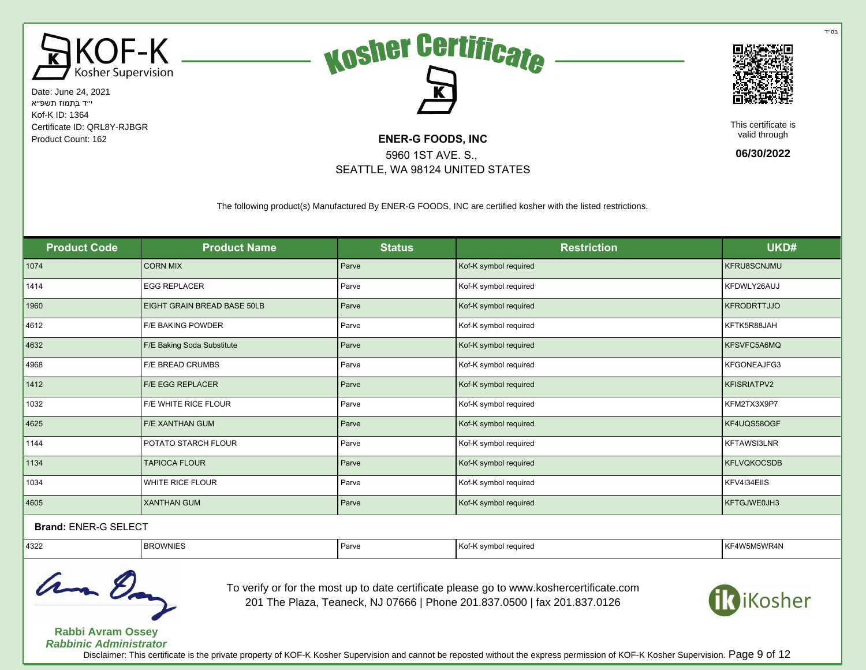





This certificate is valid through

**06/30/2022**

The following product(s) Manufactured By ENER-G FOODS, INC are certified kosher with the listed restrictions.

5960 1ST AVE. S., SEATTLE, WA 98124 UNITED STATES

| <b>Product Code</b>                     | <b>Product Name</b>         | <b>Status</b> | <b>Restriction</b>    | UKD#               |  |
|-----------------------------------------|-----------------------------|---------------|-----------------------|--------------------|--|
| 1074                                    | <b>CORN MIX</b>             | Parve         | Kof-K symbol required | <b>KFRU8SCNJMU</b> |  |
| 1414                                    | <b>EGG REPLACER</b>         | Parve         | Kof-K symbol required | KFDWLY26AUJ        |  |
| 1960                                    | EIGHT GRAIN BREAD BASE 50LB | Parve         | Kof-K symbol required | <b>KFRODRTTJJO</b> |  |
| 4612                                    | F/E BAKING POWDER           | Parve         | Kof-K symbol required | KFTK5R88JAH        |  |
| 4632                                    | F/E Baking Soda Substitute  | Parve         | Kof-K symbol required | KFSVFC5A6MQ        |  |
| 4968                                    | <b>F/E BREAD CRUMBS</b>     | Parve         | Kof-K symbol required | KFGONEAJFG3        |  |
| 1412                                    | <b>F/E EGG REPLACER</b>     | Parve         | Kof-K symbol required | <b>KFISRIATPV2</b> |  |
| 1032                                    | F/E WHITE RICE FLOUR        | Parve         | Kof-K symbol required | KFM2TX3X9P7        |  |
| 4625                                    | <b>F/E XANTHAN GUM</b>      | Parve         | Kof-K symbol required | KF4UQS58OGF        |  |
| 1144                                    | POTATO STARCH FLOUR         | Parve         | Kof-K symbol required | KFTAWSI3LNR        |  |
| 1134                                    | <b>TAPIOCA FLOUR</b>        | Parve         | Kof-K symbol required | <b>KFLVQKOCSDB</b> |  |
| 1034                                    | WHITE RICE FLOUR            | Parve         | Kof-K symbol required | KFV4I34EIIS        |  |
| 4605                                    | <b>XANTHAN GUM</b>          | Parve         | Kof-K symbol required | KFTGJWE0JH3        |  |
| $P_{\text{max}}$ . FNFR $\alpha$ of $P$ |                             |               |                       |                    |  |

## Brand: ENER-G SELECT

| 4322 | ≺ບwwini⊏ວ | Parve | Ko<br>' reauıre⊾ | M5WR4N<br>$\lambda$<br>IN F |
|------|-----------|-------|------------------|-----------------------------|
|      |           |       |                  |                             |



To verify or for the most up to date certificate please go to www.koshercertificate.com 201 The Plaza, Teaneck, NJ 07666 | Phone 201.837.0500 | fax 201.837.0126



**Rabbi Avram Ossey Rabbinic Administrator**

Disclaimer: This certificate is the private property of KOF-K Kosher Supervision and cannot be reposted without the express permission of KOF-K Kosher Supervision. Page 9 of 12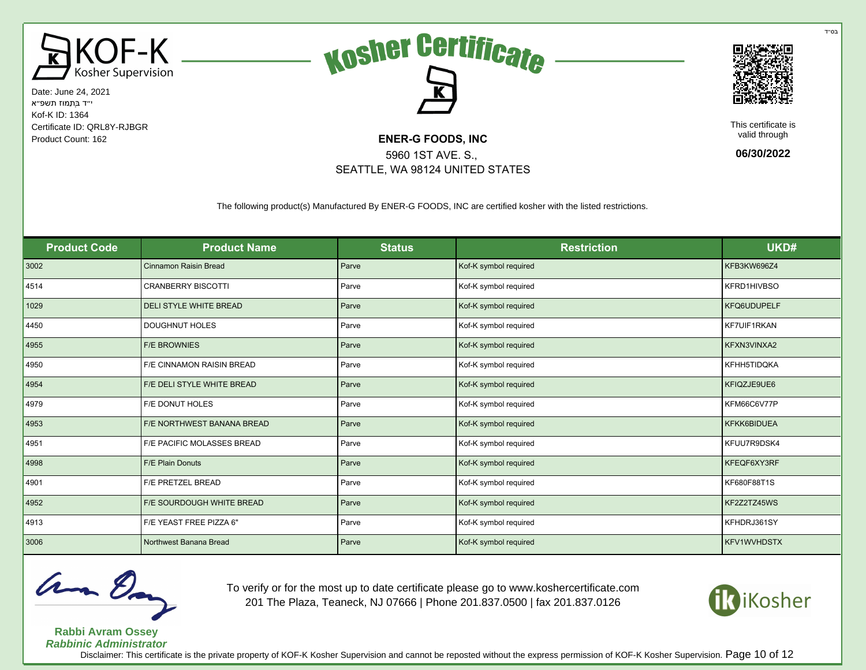





This certificate is valid through

**06/30/2022**

The following product(s) Manufactured By ENER-G FOODS, INC are certified kosher with the listed restrictions.

5960 1ST AVE. S., SEATTLE, WA 98124 UNITED STATES

| <b>Product Code</b> | <b>Product Name</b>              | <b>Status</b> | <b>Restriction</b>    | UKD#               |
|---------------------|----------------------------------|---------------|-----------------------|--------------------|
| 3002                | <b>Cinnamon Raisin Bread</b>     | Parve         | Kof-K symbol required | KFB3KW696Z4        |
| 4514                | <b>CRANBERRY BISCOTTI</b>        | Parve         | Kof-K symbol required | KFRD1HIVBSO        |
| 1029                | <b>DELI STYLE WHITE BREAD</b>    | Parve         | Kof-K symbol required | KFQ6UDUPELF        |
| 4450                | <b>DOUGHNUT HOLES</b>            | Parve         | Kof-K symbol required | KF7UIF1RKAN        |
| 4955                | <b>F/E BROWNIES</b>              | Parve         | Kof-K symbol required | KFXN3VINXA2        |
| 4950                | <b>F/E CINNAMON RAISIN BREAD</b> | Parve         | Kof-K symbol required | KFHH5TIDQKA        |
| 4954                | F/E DELI STYLE WHITE BREAD       | Parve         | Kof-K symbol required | KFIQZJE9UE6        |
| 4979                | <b>F/E DONUT HOLES</b>           | Parve         | Kof-K symbol required | KFM66C6V77P        |
| 4953                | F/E NORTHWEST BANANA BREAD       | Parve         | Kof-K symbol required | KFKK6BIDUEA        |
| 4951                | F/E PACIFIC MOLASSES BREAD       | Parve         | Kof-K symbol required | KFUU7R9DSK4        |
| 4998                | <b>F/E Plain Donuts</b>          | Parve         | Kof-K symbol required | KFEQF6XY3RF        |
| 4901                | F/E PRETZEL BREAD                | Parve         | Kof-K symbol required | KF680F88T1S        |
| 4952                | F/E SOURDOUGH WHITE BREAD        | Parve         | Kof-K symbol required | KF2Z2TZ45WS        |
| 4913                | F/E YEAST FREE PIZZA 6"          | Parve         | Kof-K symbol required | KFHDRJ361SY        |
| 3006                | Northwest Banana Bread           | Parve         | Kof-K symbol required | <b>KFV1WVHDSTX</b> |



**Rabbi Avram Ossey**

To verify or for the most up to date certificate please go to www.koshercertificate.com 201 The Plaza, Teaneck, NJ 07666 | Phone 201.837.0500 | fax 201.837.0126



**Rabbinic Administrator** Disclaimer: This certificate is the private property of KOF-K Kosher Supervision and cannot be reposted without the express permission of KOF-K Kosher Supervision. Page 10 of 12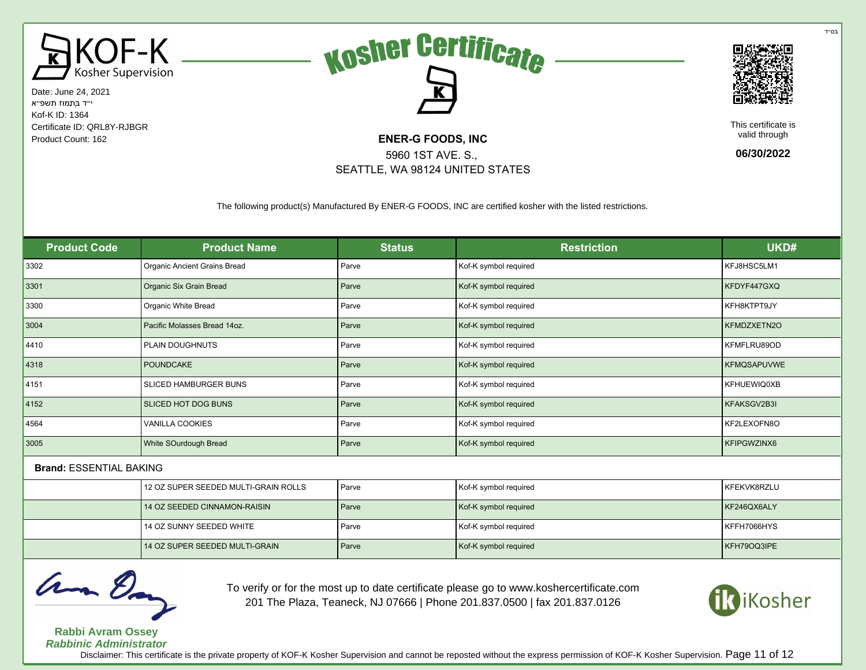





This certificate is valid through

**06/30/2022**

The following product(s) Manufactured By ENER-G FOODS, INC are certified kosher with the listed restrictions.

5960 1ST AVE. S., SEATTLE, WA 98124 UNITED STATES

| <b>Product Code</b>            | <b>Product Name</b>                  | <b>Status</b> | <b>Restriction</b>    | UKD#               |
|--------------------------------|--------------------------------------|---------------|-----------------------|--------------------|
| 3302                           | Organic Ancient Grains Bread         | Parve         | Kof-K symbol required | KFJ8HSC5LM1        |
| 3301                           | Organic Six Grain Bread              | Parve         | Kof-K symbol required | KFDYF447GXQ        |
| 3300                           | Organic White Bread                  | Parve         | Kof-K symbol required | KFH8KTPT9JY        |
| 3004                           | Pacific Molasses Bread 14oz.         | Parve         | Kof-K symbol required | KFMDZXETN2O        |
| 4410                           | PLAIN DOUGHNUTS                      | Parve         | Kof-K symbol required | KFMFLRU89OD        |
| 4318                           | <b>POUNDCAKE</b>                     | Parve         | Kof-K symbol required | <b>KFMQSAPUVWE</b> |
| 4151                           | SLICED HAMBURGER BUNS                | Parve         | Kof-K symbol required | KFHUEWIQ0XB        |
| 4152                           | SLICED HOT DOG BUNS                  | Parve         | Kof-K symbol required | KFAKSGV2B3I        |
| 4564                           | <b>VANILLA COOKIES</b>               | Parve         | Kof-K symbol required | KF2LEXOFN8O        |
| 3005                           | White SOurdough Bread                | Parve         | Kof-K symbol required | KFIPGWZINX6        |
| <b>Brand: ESSENTIAL BAKING</b> |                                      |               |                       |                    |
|                                | 12 OZ SUPER SEEDED MULTI-GRAIN ROLLS | Parve         | Kof-K symbol required | KFEKVK8RZLU        |
|                                | 14 OZ SEEDED CINNAMON-RAISIN         | Parve         | Kof-K symbol required | KF246QX6ALY        |
|                                | 14 OZ SUNNY SEEDED WHITE             | Parve         | Kof-K symbol required | KFFH7066HYS        |
|                                | 14 OZ SUPER SEEDED MULTI-GRAIN       | Parve         | Kof-K symbol required | KFH79OQ3IPE        |



To verify or for the most up to date certificate please go to www.koshercertificate.com 201 The Plaza, Teaneck, NJ 07666 | Phone 201.837.0500 | fax 201.837.0126



**Rabbi Avram Ossey Rabbinic Administrator**

Disclaimer: This certificate is the private property of KOF-K Kosher Supervision and cannot be reposted without the express permission of KOF-K Kosher Supervision. Page 11 of 12